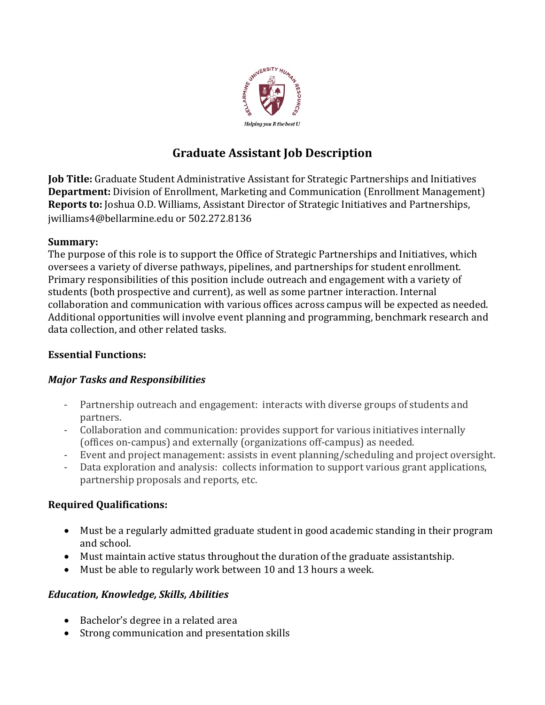

# **Graduate Assistant Job Description**

**Job Title:** Graduate Student Administrative Assistant for Strategic Partnerships and Initiatives **Department:** Division of Enrollment, Marketing and Communication (Enrollment Management) **Reports to:** Joshua O.D. Williams, Assistant Director of Strategic Initiatives and Partnerships, jwilliams4@bellarmine.edu or 502.272.8136

#### **Summary:**

The purpose of this role is to support the Office of Strategic Partnerships and Initiatives, which oversees a variety of diverse pathways, pipelines, and partnerships for student enrollment. Primary responsibilities of this position include outreach and engagement with a variety of students (both prospective and current), as well as some partner interaction. Internal collaboration and communication with various offices across campus will be expected as needed. Additional opportunities will involve event planning and programming, benchmark research and data collection, and other related tasks.

# **Essential Functions:**

# *Major Tasks and Responsibilities*

- Partnership outreach and engagement: interacts with diverse groups of students and partners.
- Collaboration and communication: provides support for various initiatives internally (offices on-campus) and externally (organizations off-campus) as needed.
- Event and project management: assists in event planning/scheduling and project oversight.
- Data exploration and analysis: collects information to support various grant applications, partnership proposals and reports, etc.

# **Required Qualifications:**

- Must be a regularly admitted graduate student in good academic standing in their program and school.
- Must maintain active status throughout the duration of the graduate assistantship.
- Must be able to regularly work between 10 and 13 hours a week.

# *Education, Knowledge, Skills, Abilities*

- Bachelor's degree in a related area
- Strong communication and presentation skills